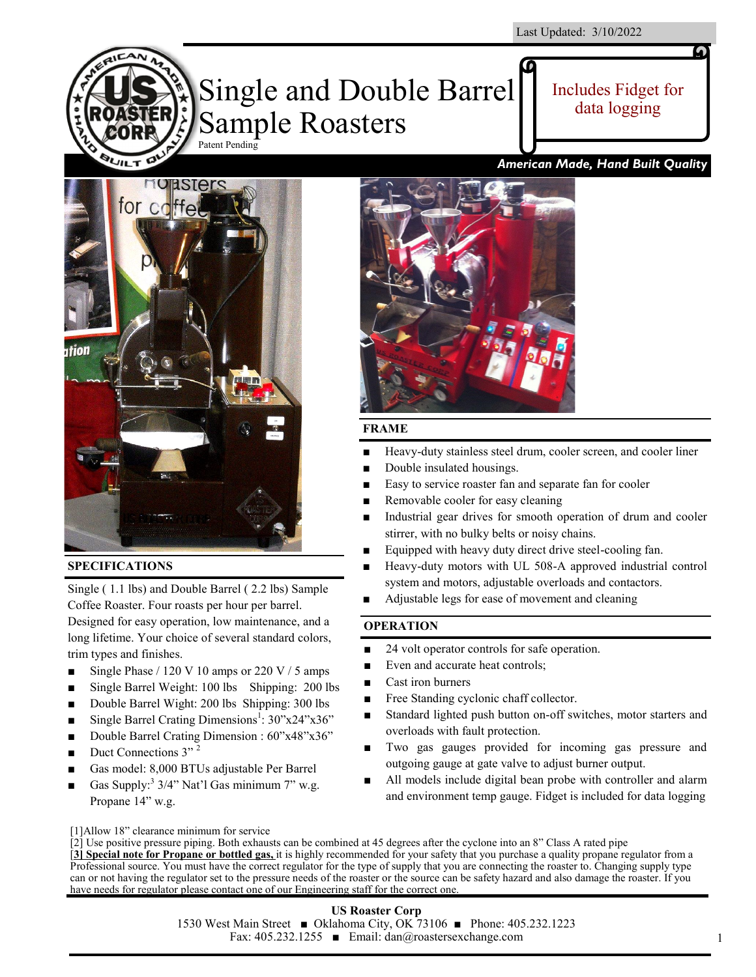

Includes Fidget for data logging

# **HORSTers** for coffe **Hion**

# **SPECIFICATIONS**

**QUILT LA** 

Single ( 1.1 lbs) and Double Barrel ( 2.2 lbs) Sample Coffee Roaster. Four roasts per hour per barrel. Designed for easy operation, low maintenance, and a long lifetime. Your choice of several standard colors, trim types and finishes.

- Single Phase  $/ 120 \text{ V} 10$  amps or 220 V  $/ 5$  amps
- Single Barrel Weight: 100 lbs Shipping: 200 lbs
- Double Barrel Wight: 200 lbs Shipping: 300 lbs
- Single Barrel Crating Dimensions<sup>1</sup>:  $30"x24"x36"$
- Double Barrel Crating Dimension : 60"x48"x36"
- Duct Connections  $3''$ <sup>2</sup>
- Gas model: 8,000 BTUs adjustable Per Barrel
- Gas Supply:<sup>3</sup>  $3/4$ " Nat'l Gas minimum 7" w.g. Propane 14" w.g.

# *American Made, Hand Built Quality*



# **FRAME**

- Heavy-duty stainless steel drum, cooler screen, and cooler liner
- Double insulated housings.
- Easy to service roaster fan and separate fan for cooler
- Removable cooler for easy cleaning
- Industrial gear drives for smooth operation of drum and cooler stirrer, with no bulky belts or noisy chains.
- Equipped with heavy duty direct drive steel-cooling fan.
- Heavy-duty motors with UL 508-A approved industrial control system and motors, adjustable overloads and contactors.
	- Adjustable legs for ease of movement and cleaning

# **OPERATION**

- 24 volt operator controls for safe operation.
- Even and accurate heat controls;
- Cast iron burners
- Free Standing cyclonic chaff collector.
- Standard lighted push button on-off switches, motor starters and overloads with fault protection.
- Two gas gauges provided for incoming gas pressure and outgoing gauge at gate valve to adjust burner output.
- All models include digital bean probe with controller and alarm and environment temp gauge. Fidget is included for data logging

[1]Allow 18" clearance minimum for service

# **US Roaster Corp**

1530 West Main Street ■ Oklahoma City, OK 73106 ■ Phone: 405.232.1223 Fax: 405.232.1255 ■ Email: dan@roastersexchange.com

1

<sup>[2]</sup> Use positive pressure piping. Both exhausts can be combined at 45 degrees after the cyclone into an 8" Class A rated pipe [**3] Special note for Propane or bottled gas,** it is highly recommended for your safety that you purchase a quality propane regulator from a Professional source. You must have the correct regulator for the type of supply that you are connecting the roaster to. Changing supply type can or not having the regulator set to the pressure needs of the roaster or the source can be safety hazard and also damage the roaster. If you have needs for regulator please contact one of our Engineering staff for the correct one.